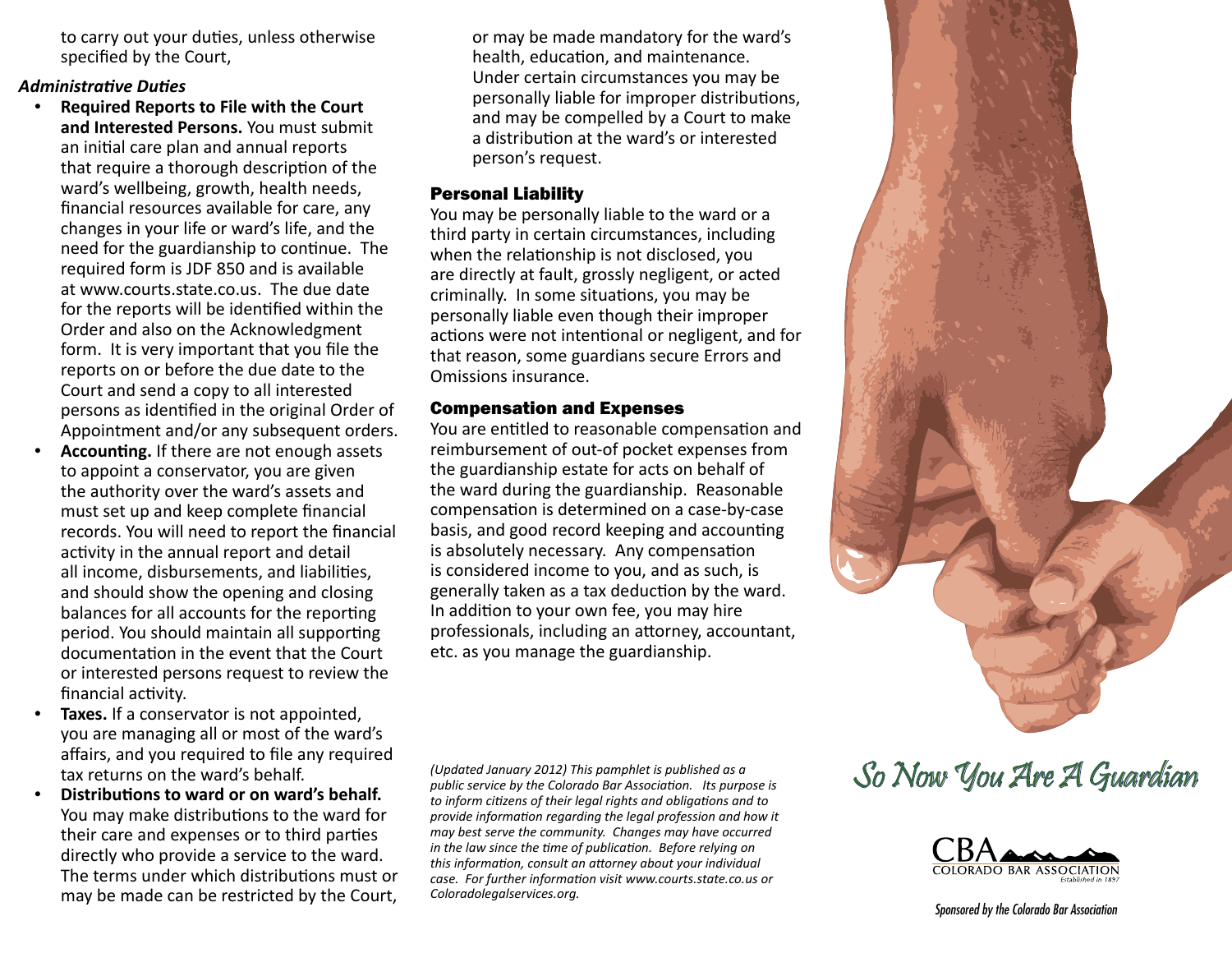to carry out your duties, unless otherwise specified by the Court,

#### *Administrative Duties*

- **Required Reports to File with the Court and Interested Persons.** You must submit an initial care plan and annual reports that require a thorough description of the ward's wellbeing, growth, health needs, financial resources available for care, any changes in your life or ward's life, and the need for the guardianship to continue. The required form is JDF 850 and is available at www.courts.state.co.us. The due date for the reports will be identified within the Order and also on the Acknowledgment form. It is very important that you file the reports on or before the due date to the Court and send a copy to all interested persons as identified in the original Order of Appointment and/or any subsequent orders.
- Accounting. If there are not enough assets to appoint a conservator, you are given the authority over the ward's assets and must set up and keep complete financial records. You will need to report the financial activity in the annual report and detail all income, disbursements, and liabilities, and should show the opening and closing balances for all accounts for the reporting period. You should maintain all supporting documentation in the event that the Court or interested persons request to review the financial activity.
- Taxes. If a conservator is not appointed, you are managing all or most of the ward's affairs, and you required to file any required tax returns on the ward's behalf.
- **Distributions to ward or on ward's behalf.** You may make distributions to the ward for their care and expenses or to third parties directly who provide a service to the ward. The terms under which distributions must or may be made can be restricted by the Court,

or may be made mandatory for the ward's health, education, and maintenance. Under certain circumstances you may be personally liable for improper distributions, and may be compelled by a Court to make a distribution at the ward's or interested person's request.

#### l Personal Liability

You may be personally liable to the ward or a third party in certain circumstances, including when the relationship is not disclosed, you are directly at fault, grossly negligent, or acted criminally. In some situations, you may be personally liable even though their improper actions were not intentional or negligent, and for that reason, some guardians secure Errors and Omissions insurance.

#### Compensation and Expenses

You are entitled to reasonable compensation and reimbursement of out-of pocket expenses from the guardianship estate for acts on behalf of the ward during the guardianship. Reasonable compensation is determined on a case-by-case basis, and good record keeping and accounting is absolutely necessary. Any compensation is considered income to you, and as such, is generally taken as a tax deduction by the ward. In addition to your own fee, you may hire professionals, including an attorney, accountant, etc. as you manage the guardianship.



*(Updated January 2012) This pamphlet is published as a public service by the Colorado Bar Association. Its purpose is to inform citizens of their legal rights and obligations and to provide information regarding the legal profession and how it may best serve the community. Changes may have occurred in the law since the time of publication. Before relying on this information, consult an attorney about your individual case. For further information visit www.courts.state.co.us or Coloradolegalservices.org.*

# So Now You Are A Guardian



*Sponsored by the Colorado Bar Association*